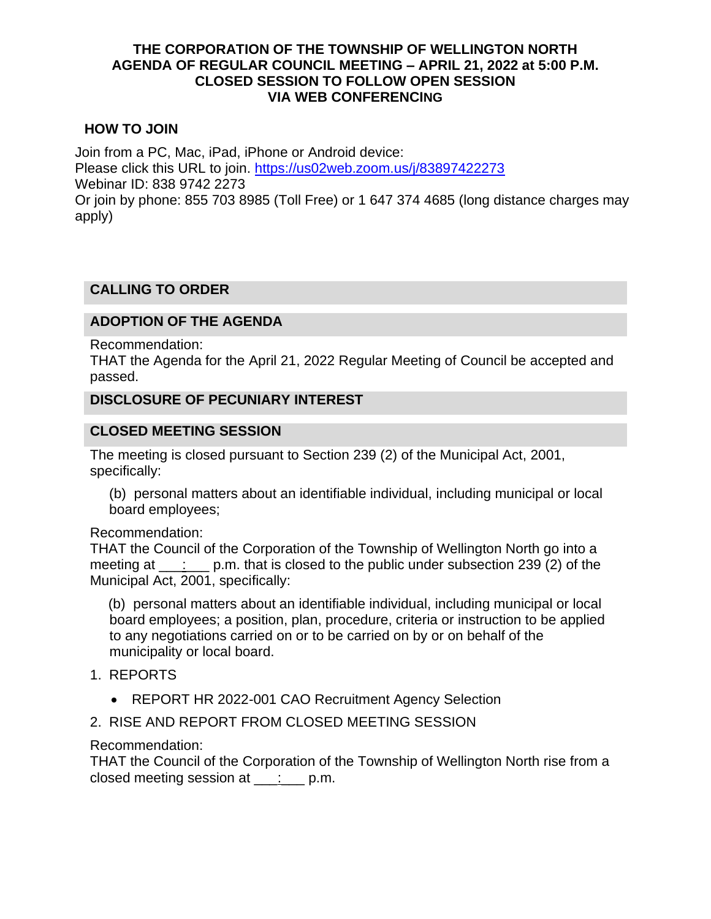#### **THE CORPORATION OF THE TOWNSHIP OF WELLINGTON NORTH AGENDA OF REGULAR COUNCIL MEETING – APRIL 21, 2022 at 5:00 P.M. CLOSED SESSION TO FOLLOW OPEN SESSION VIA WEB CONFERENCING**

### **HOW TO JOIN**

Join from a PC, Mac, iPad, iPhone or Android device: Please click this URL to join.<https://us02web.zoom.us/j/83897422273> Webinar ID: 838 9742 2273 Or join by phone: 855 703 8985 (Toll Free) or 1 647 374 4685 (long distance charges may apply)

### **CALLING TO ORDER**

## **ADOPTION OF THE AGENDA**

Recommendation:

THAT the Agenda for the April 21, 2022 Regular Meeting of Council be accepted and passed.

#### **DISCLOSURE OF PECUNIARY INTEREST**

#### **CLOSED MEETING SESSION**

The meeting is closed pursuant to Section 239 (2) of the Municipal Act, 2001, specifically:

(b) personal matters about an identifiable individual, including municipal or local board employees;

#### Recommendation:

THAT the Council of the Corporation of the Township of Wellington North go into a meeting at  $\therefore$  p.m. that is closed to the public under subsection 239 (2) of the Municipal Act, 2001, specifically:

(b) personal matters about an identifiable individual, including municipal or local board employees; a position, plan, procedure, criteria or instruction to be applied to any negotiations carried on or to be carried on by or on behalf of the municipality or local board.

- 1. REPORTS
	- REPORT HR 2022-001 CAO Recruitment Agency Selection
- 2. RISE AND REPORT FROM CLOSED MEETING SESSION

#### Recommendation:

THAT the Council of the Corporation of the Township of Wellington North rise from a closed meeting session at  $\rule{1em}{0.15mm}$  p.m.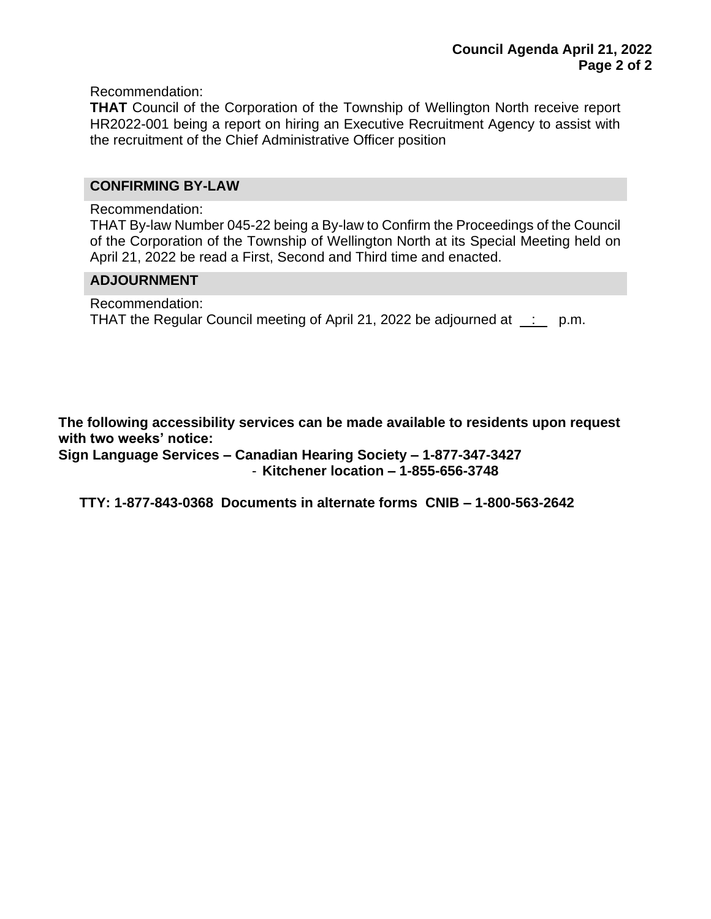Recommendation:

**THAT** Council of the Corporation of the Township of Wellington North receive report HR2022-001 being a report on hiring an Executive Recruitment Agency to assist with the recruitment of the Chief Administrative Officer position

#### **CONFIRMING BY-LAW**

Recommendation:

THAT By-law Number 045-22 being a By-law to Confirm the Proceedings of the Council of the Corporation of the Township of Wellington North at its Special Meeting held on April 21, 2022 be read a First, Second and Third time and enacted.

#### **ADJOURNMENT**

Recommendation: THAT the Regular Council meeting of April 21, 2022 be adjourned at : p.m.

**The following accessibility services can be made available to residents upon request with two weeks' notice:**

**Sign Language Services – Canadian Hearing Society – 1-877-347-3427** - **Kitchener location – 1-855-656-3748**

**TTY: 1-877-843-0368 Documents in alternate forms CNIB – 1-800-563-2642**